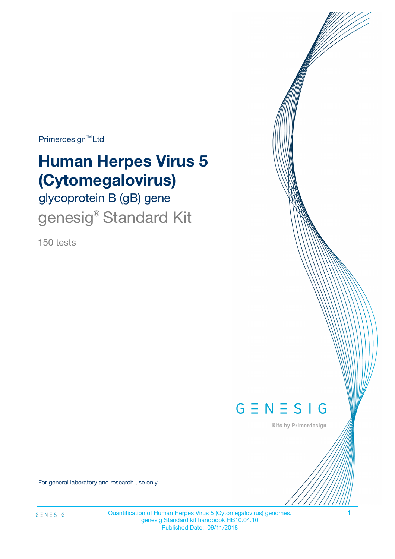Primerdesign<sup>™</sup>Ltd

# **Human Herpes Virus 5 (Cytomegalovirus)**

glycoprotein B (gB) gene genesig<sup>®</sup> Standard Kit

150 tests



Kits by Primerdesign

For general laboratory and research use only

Quantification of Human Herpes Virus 5 (Cytomegalovirus) genomes. 1 genesig Standard kit handbook HB10.04.10 Published Date: 09/11/2018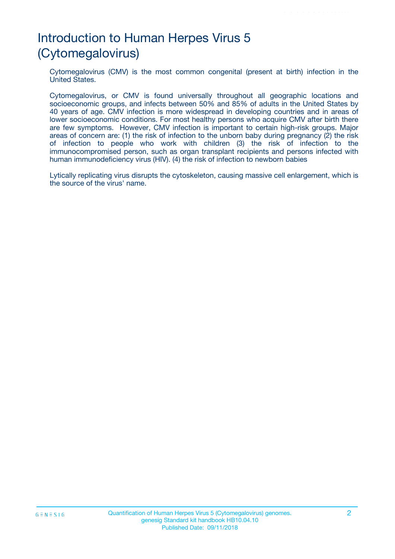# Introduction to Human Herpes Virus 5 (Cytomegalovirus)

Cytomegalovirus (CMV) is the most common congenital (present at birth) infection in the United States.

Cytomegalovirus, or CMV is found universally throughout all geographic locations and socioeconomic groups, and infects between 50% and 85% of adults in the United States by 40 years of age. CMV infection is more widespread in developing countries and in areas of lower socioeconomic conditions. For most healthy persons who acquire CMV after birth there are few symptoms. However, CMV infection is important to certain high-risk groups. Major areas of concern are: (1) the risk of infection to the unborn baby during pregnancy (2) the risk of infection to people who work with children (3) the risk of infection to the immunocompromised person, such as organ transplant recipients and persons infected with human immunodeficiency virus (HIV). (4) the risk of infection to newborn babies

Lytically replicating virus disrupts the cytoskeleton, causing massive cell enlargement, which is the source of the virus' name.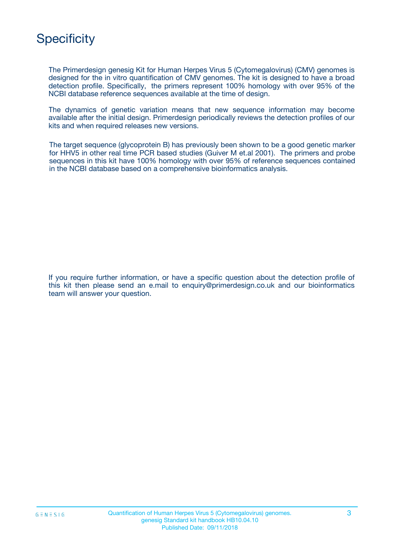## **Specificity**

The Primerdesign genesig Kit for Human Herpes Virus 5 (Cytomegalovirus) (CMV) genomes is designed for the in vitro quantification of CMV genomes. The kit is designed to have a broad detection profile. Specifically, the primers represent 100% homology with over 95% of the NCBI database reference sequences available at the time of design.

The dynamics of genetic variation means that new sequence information may become available after the initial design. Primerdesign periodically reviews the detection profiles of our kits and when required releases new versions.

The target sequence (glycoprotein B) has previously been shown to be a good genetic marker for HHV5 in other real time PCR based studies (Guiver M et.al 2001). The primers and probe sequences in this kit have 100% homology with over 95% of reference sequences contained in the NCBI database based on a comprehensive bioinformatics analysis.

If you require further information, or have a specific question about the detection profile of this kit then please send an e.mail to enquiry@primerdesign.co.uk and our bioinformatics team will answer your question.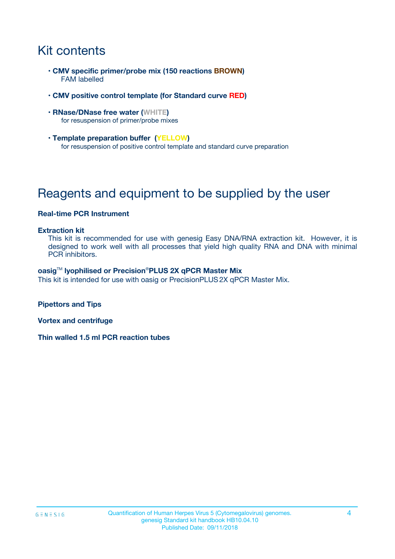# Kit contents

- **CMV specific primer/probe mix (150 reactions BROWN)** FAM labelled
- **CMV positive control template (for Standard curve RED)**
- **RNase/DNase free water (WHITE)** for resuspension of primer/probe mixes
- **Template preparation buffer (YELLOW)** for resuspension of positive control template and standard curve preparation

# Reagents and equipment to be supplied by the user

#### **Real-time PCR Instrument**

#### **Extraction kit**

This kit is recommended for use with genesig Easy DNA/RNA extraction kit. However, it is designed to work well with all processes that yield high quality RNA and DNA with minimal PCR inhibitors.

#### **oasig**TM **lyophilised or Precision**®**PLUS 2X qPCR Master Mix**

This kit is intended for use with oasig or PrecisionPLUS2X qPCR Master Mix.

**Pipettors and Tips**

**Vortex and centrifuge**

**Thin walled 1.5 ml PCR reaction tubes**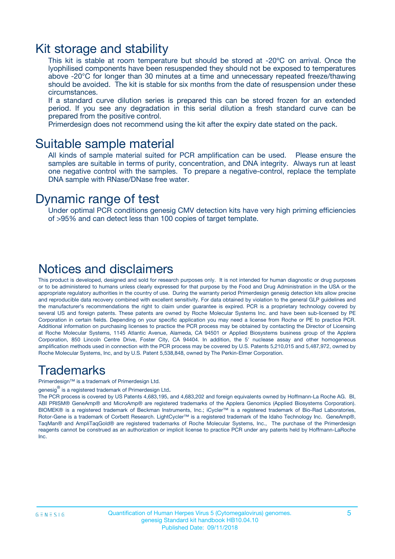### Kit storage and stability

This kit is stable at room temperature but should be stored at -20ºC on arrival. Once the lyophilised components have been resuspended they should not be exposed to temperatures above -20°C for longer than 30 minutes at a time and unnecessary repeated freeze/thawing should be avoided. The kit is stable for six months from the date of resuspension under these circumstances.

If a standard curve dilution series is prepared this can be stored frozen for an extended period. If you see any degradation in this serial dilution a fresh standard curve can be prepared from the positive control.

Primerdesign does not recommend using the kit after the expiry date stated on the pack.

### Suitable sample material

All kinds of sample material suited for PCR amplification can be used. Please ensure the samples are suitable in terms of purity, concentration, and DNA integrity. Always run at least one negative control with the samples. To prepare a negative-control, replace the template DNA sample with RNase/DNase free water.

### Dynamic range of test

Under optimal PCR conditions genesig CMV detection kits have very high priming efficiencies of >95% and can detect less than 100 copies of target template.

### Notices and disclaimers

This product is developed, designed and sold for research purposes only. It is not intended for human diagnostic or drug purposes or to be administered to humans unless clearly expressed for that purpose by the Food and Drug Administration in the USA or the appropriate regulatory authorities in the country of use. During the warranty period Primerdesign genesig detection kits allow precise and reproducible data recovery combined with excellent sensitivity. For data obtained by violation to the general GLP guidelines and the manufacturer's recommendations the right to claim under guarantee is expired. PCR is a proprietary technology covered by several US and foreign patents. These patents are owned by Roche Molecular Systems Inc. and have been sub-licensed by PE Corporation in certain fields. Depending on your specific application you may need a license from Roche or PE to practice PCR. Additional information on purchasing licenses to practice the PCR process may be obtained by contacting the Director of Licensing at Roche Molecular Systems, 1145 Atlantic Avenue, Alameda, CA 94501 or Applied Biosystems business group of the Applera Corporation, 850 Lincoln Centre Drive, Foster City, CA 94404. In addition, the 5' nuclease assay and other homogeneous amplification methods used in connection with the PCR process may be covered by U.S. Patents 5,210,015 and 5,487,972, owned by Roche Molecular Systems, Inc, and by U.S. Patent 5,538,848, owned by The Perkin-Elmer Corporation.

### Trademarks

Primerdesign™ is a trademark of Primerdesign Ltd.

genesig $^\circledR$  is a registered trademark of Primerdesign Ltd.

The PCR process is covered by US Patents 4,683,195, and 4,683,202 and foreign equivalents owned by Hoffmann-La Roche AG. BI, ABI PRISM® GeneAmp® and MicroAmp® are registered trademarks of the Applera Genomics (Applied Biosystems Corporation). BIOMEK® is a registered trademark of Beckman Instruments, Inc.; iCycler™ is a registered trademark of Bio-Rad Laboratories, Rotor-Gene is a trademark of Corbett Research. LightCycler™ is a registered trademark of the Idaho Technology Inc. GeneAmp®, TaqMan® and AmpliTaqGold® are registered trademarks of Roche Molecular Systems, Inc., The purchase of the Primerdesign reagents cannot be construed as an authorization or implicit license to practice PCR under any patents held by Hoffmann-LaRoche Inc.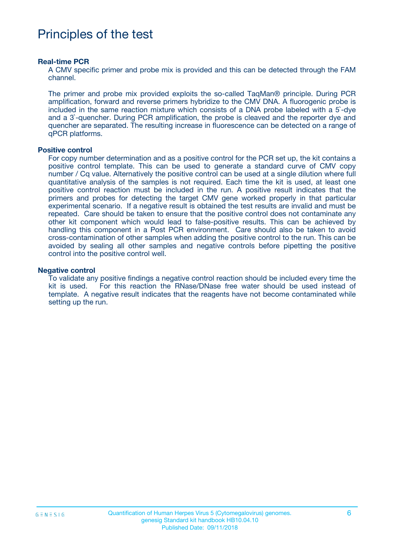### Principles of the test

#### **Real-time PCR**

A CMV specific primer and probe mix is provided and this can be detected through the FAM channel.

The primer and probe mix provided exploits the so-called TaqMan® principle. During PCR amplification, forward and reverse primers hybridize to the CMV DNA. A fluorogenic probe is included in the same reaction mixture which consists of a DNA probe labeled with a 5`-dye and a 3`-quencher. During PCR amplification, the probe is cleaved and the reporter dye and quencher are separated. The resulting increase in fluorescence can be detected on a range of qPCR platforms.

#### **Positive control**

For copy number determination and as a positive control for the PCR set up, the kit contains a positive control template. This can be used to generate a standard curve of CMV copy number / Cq value. Alternatively the positive control can be used at a single dilution where full quantitative analysis of the samples is not required. Each time the kit is used, at least one positive control reaction must be included in the run. A positive result indicates that the primers and probes for detecting the target CMV gene worked properly in that particular experimental scenario. If a negative result is obtained the test results are invalid and must be repeated. Care should be taken to ensure that the positive control does not contaminate any other kit component which would lead to false-positive results. This can be achieved by handling this component in a Post PCR environment. Care should also be taken to avoid cross-contamination of other samples when adding the positive control to the run. This can be avoided by sealing all other samples and negative controls before pipetting the positive control into the positive control well.

#### **Negative control**

To validate any positive findings a negative control reaction should be included every time the kit is used. For this reaction the RNase/DNase free water should be used instead of template. A negative result indicates that the reagents have not become contaminated while setting up the run.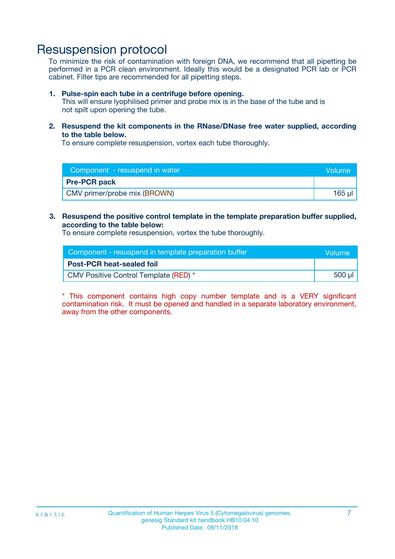### Resuspension protocol

To minimize the risk of contamination with foreign DNA, we recommend that all pipetting be performed in a PCR clean environment. Ideally this would be a designated PCR lab or PCR cabinet. Filter tips are recommended for all pipetting steps.

#### **1. Pulse-spin each tube in a centrifuge before opening.**

This will ensure lyophilised primer and probe mix is in the base of the tube and is not spilt upon opening the tube.

**2. Resuspend the kit components in the RNase/DNase free water supplied, according to the table below.**

To ensure complete resuspension, vortex each tube thoroughly.

| Component - resuspend in water | Volume |
|--------------------------------|--------|
| <b>Pre-PCR pack</b>            |        |
| CMV primer/probe mix (BROWN)   | 165 µl |

#### **3. Resuspend the positive control template in the template preparation buffer supplied, according to the table below:**

To ensure complete resuspension, vortex the tube thoroughly.

| Component - resuspend in template preparation buffer | <b>Nolume</b> |
|------------------------------------------------------|---------------|
| <b>Post-PCR heat-sealed foil</b>                     |               |
| CMV Positive Control Template (RED) *                | 500 µl        |

\* This component contains high copy number template and is a VERY significant contamination risk. It must be opened and handled in a separate laboratory environment, away from the other components.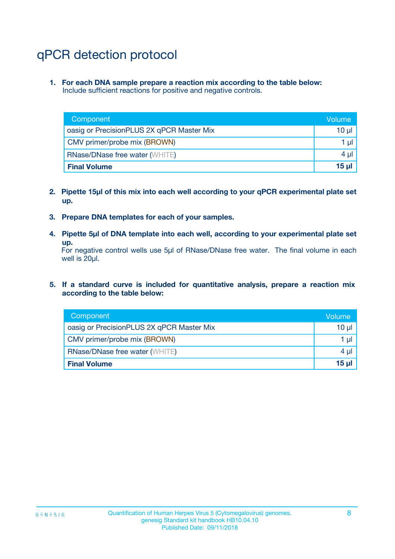# qPCR detection protocol

**1. For each DNA sample prepare a reaction mix according to the table below:** Include sufficient reactions for positive and negative controls.

| Component                                 | Volume          |
|-------------------------------------------|-----------------|
| oasig or PrecisionPLUS 2X qPCR Master Mix | 10 $\mu$        |
| CMV primer/probe mix (BROWN)              | 1 $\mu$         |
| <b>RNase/DNase free water (WHITE)</b>     | $4 \mu$         |
| <b>Final Volume</b>                       | 15 <sub>µ</sub> |

- **2. Pipette 15µl of this mix into each well according to your qPCR experimental plate set up.**
- **3. Prepare DNA templates for each of your samples.**
- **4. Pipette 5µl of DNA template into each well, according to your experimental plate set up.**

For negative control wells use 5µl of RNase/DNase free water. The final volume in each well is 20µl.

**5. If a standard curve is included for quantitative analysis, prepare a reaction mix according to the table below:**

| Component                                 | Volume  |
|-------------------------------------------|---------|
| oasig or PrecisionPLUS 2X qPCR Master Mix | 10 µl   |
| CMV primer/probe mix (BROWN)              | 1 µI    |
| <b>RNase/DNase free water (WHITE)</b>     | $4 \mu$ |
| <b>Final Volume</b>                       | 15 µl   |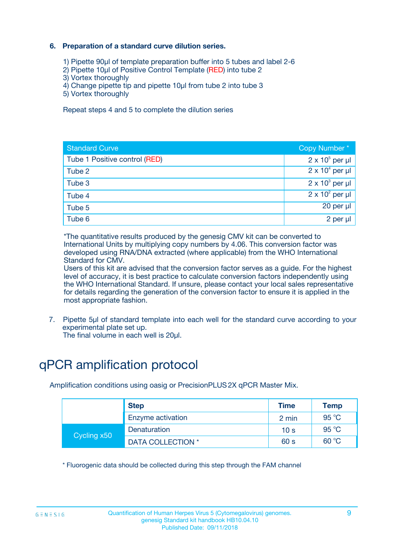### **6. Preparation of a standard curve dilution series.**

- 1) Pipette 90µl of template preparation buffer into 5 tubes and label 2-6
- 2) Pipette 10µl of Positive Control Template (RED) into tube 2
- 3) Vortex thoroughly
- 4) Change pipette tip and pipette 10µl from tube 2 into tube 3
- 5) Vortex thoroughly

Repeat steps 4 and 5 to complete the dilution series

| <b>Standard Curve</b>         | Copy Number*           |
|-------------------------------|------------------------|
| Tube 1 Positive control (RED) | $2 \times 10^5$ per µl |
| Tube 2                        | $2 \times 10^4$ per µl |
| Tube 3                        | $2 \times 10^3$ per µl |
| Tube 4                        | $2 \times 10^2$ per µl |
| Tube 5                        | $20$ per $\mu$         |
| Tube 6                        | 2 per µl               |

\*The quantitative results produced by the genesig CMV kit can be converted to International Units by multiplying copy numbers by 4.06. This conversion factor was developed using RNA/DNA extracted (where applicable) from the WHO International Standard for CMV.

Users of this kit are advised that the conversion factor serves as a guide. For the highest level of accuracy, it is best practice to calculate conversion factors independently using the WHO International Standard. If unsure, please contact your local sales representative for details regarding the generation of the conversion factor to ensure it is applied in the most appropriate fashion.

7. Pipette 5µl of standard template into each well for the standard curve according to your experimental plate set up.

The final volume in each well is 20µl.

# qPCR amplification protocol

Amplification conditions using oasig or PrecisionPLUS2X qPCR Master Mix.

| <b>Step</b> |                   | <b>Time</b>     | Temp    |
|-------------|-------------------|-----------------|---------|
|             | Enzyme activation | 2 min           | 95 °C   |
| Cycling x50 | Denaturation      | 10 <sub>s</sub> | 95 $°C$ |
|             | DATA COLLECTION * | 60 s            | 60 °C   |

\* Fluorogenic data should be collected during this step through the FAM channel